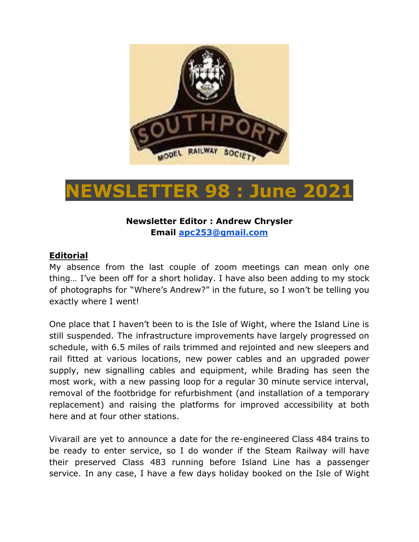



# **Newsletter Editor : Andrew Chrysler Email [apc253@gmail.com](mailto:apc253@gmail.com)**

## **Editorial**

My absence from the last couple of zoom meetings can mean only one thing… I've been off for a short holiday. I have also been adding to my stock of photographs for "Where's Andrew?" in the future, so I won't be telling you exactly where I went!

One place that I haven't been to is the Isle of Wight, where the Island Line is still suspended. The infrastructure improvements have largely progressed on schedule, with 6.5 miles of rails trimmed and rejointed and new sleepers and rail fitted at various locations, new power cables and an upgraded power supply, new signalling cables and equipment, while Brading has seen the most work, with a new passing loop for a regular 30 minute service interval, removal of the footbridge for refurbishment (and installation of a temporary replacement) and raising the platforms for improved accessibility at both here and at four other stations.

Vivarail are yet to announce a date for the re-engineered Class 484 trains to be ready to enter service, so I do wonder if the Steam Railway will have their preserved Class 483 running before Island Line has a passenger service. In any case, I have a few days holiday booked on the Isle of Wight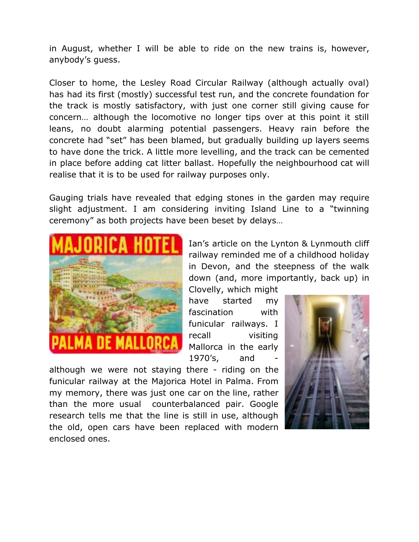in August, whether I will be able to ride on the new trains is, however, anybody's guess.

Closer to home, the Lesley Road Circular Railway (although actually oval) has had its first (mostly) successful test run, and the concrete foundation for the track is mostly satisfactory, with just one corner still giving cause for concern… although the locomotive no longer tips over at this point it still leans, no doubt alarming potential passengers. Heavy rain before the concrete had "set" has been blamed, but gradually building up layers seems to have done the trick. A little more levelling, and the track can be cemented in place before adding cat litter ballast. Hopefully the neighbourhood cat will realise that it is to be used for railway purposes only.

Gauging trials have revealed that edging stones in the garden may require slight adjustment. I am considering inviting Island Line to a "twinning ceremony" as both projects have been beset by delays…



Ian's article on the Lynton & Lynmouth cliff railway reminded me of a childhood holiday in Devon, and the steepness of the walk down (and, more importantly, back up) in

Clovelly, which might have started my fascination with funicular railways. I recall visiting Mallorca in the early 1970's, and -

although we were not staying there - riding on the funicular railway at the Majorica Hotel in Palma. From my memory, there was just one car on the line, rather than the more usual counterbalanced pair. Google research tells me that the line is still in use, although the old, open cars have been replaced with modern enclosed ones.

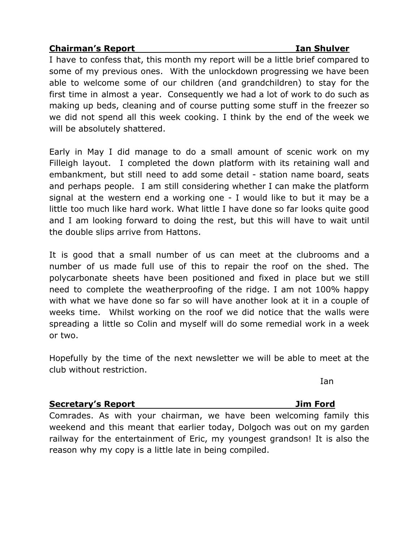## **Chairman's Report Ian Shulver**

I have to confess that, this month my report will be a little brief compared to some of my previous ones. With the unlockdown progressing we have been able to welcome some of our children (and grandchildren) to stay for the first time in almost a year. Consequently we had a lot of work to do such as making up beds, cleaning and of course putting some stuff in the freezer so we did not spend all this week cooking. I think by the end of the week we will be absolutely shattered.

Early in May I did manage to do a small amount of scenic work on my Filleigh layout. I completed the down platform with its retaining wall and embankment, but still need to add some detail - station name board, seats and perhaps people. I am still considering whether I can make the platform signal at the western end a working one - I would like to but it may be a little too much like hard work. What little I have done so far looks quite good and I am looking forward to doing the rest, but this will have to wait until the double slips arrive from Hattons.

It is good that a small number of us can meet at the clubrooms and a number of us made full use of this to repair the roof on the shed. The polycarbonate sheets have been positioned and fixed in place but we still need to complete the weatherproofing of the ridge. I am not 100% happy with what we have done so far so will have another look at it in a couple of weeks time. Whilst working on the roof we did notice that the walls were spreading a little so Colin and myself will do some remedial work in a week or two.

Hopefully by the time of the next newsletter we will be able to meet at the club without restriction.

Ian

### **Secretary's Report Jim Ford**

Comrades. As with your chairman, we have been welcoming family this weekend and this meant that earlier today, Dolgoch was out on my garden railway for the entertainment of Eric, my youngest grandson! It is also the reason why my copy is a little late in being compiled.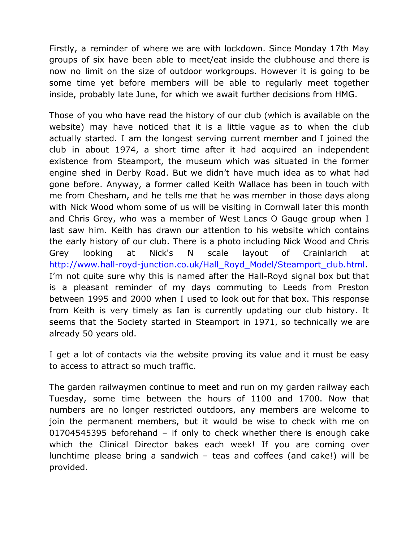Firstly, a reminder of where we are with lockdown. Since Monday 17th May groups of six have been able to meet/eat inside the clubhouse and there is now no limit on the size of outdoor workgroups. However it is going to be some time yet before members will be able to regularly meet together inside, probably late June, for which we await further decisions from HMG.

Those of you who have read the history of our club (which is available on the website) may have noticed that it is a little vague as to when the club actually started. I am the longest serving current member and I joined the club in about 1974, a short time after it had acquired an independent existence from Steamport, the museum which was situated in the former engine shed in Derby Road. But we didn't have much idea as to what had gone before. Anyway, a former called Keith Wallace has been in touch with me from Chesham, and he tells me that he was member in those days along with Nick Wood whom some of us will be visiting in Cornwall later this month and Chris Grey, who was a member of West Lancs O Gauge group when I last saw him. Keith has drawn our attention to his website which contains the early history of our club. There is a photo including Nick Wood and Chris Grey looking at Nick's N scale layout of Crainlarich at [http://www.hall-royd-junction.co.uk/Hall\\_Royd\\_Model/Steamport\\_club.html](http://www.hall-royd-junction.co.uk/Hall_Royd_Model/Steamport_club.html). I'm not quite sure why this is named after the Hall-Royd signal box but that is a pleasant reminder of my days commuting to Leeds from Preston between 1995 and 2000 when I used to look out for that box. This response from Keith is very timely as Ian is currently updating our club history. It seems that the Society started in Steamport in 1971, so technically we are already 50 years old.

I get a lot of contacts via the website proving its value and it must be easy to access to attract so much traffic.

The garden railwaymen continue to meet and run on my garden railway each Tuesday, some time between the hours of 1100 and 1700. Now that numbers are no longer restricted outdoors, any members are welcome to join the permanent members, but it would be wise to check with me on 01704545395 beforehand – if only to check whether there is enough cake which the Clinical Director bakes each week! If you are coming over lunchtime please bring a sandwich – teas and coffees (and cake!) will be provided.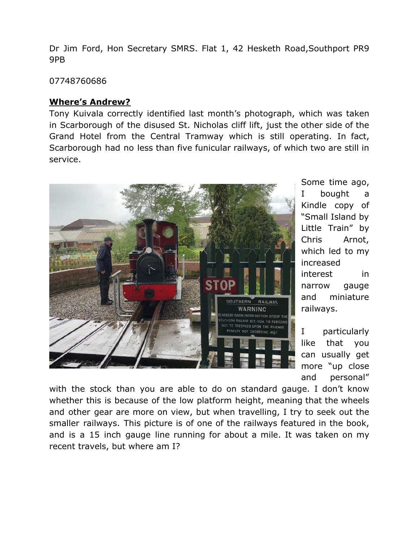Dr Jim Ford, Hon Secretary SMRS. Flat 1, 42 Hesketh Road,Southport PR9 9PB

07748760686

## **Where's Andrew?**

Tony Kuivala correctly identified last month's photograph, which was taken in Scarborough of the disused St. Nicholas cliff lift, just the other side of the Grand Hotel from the Central Tramway which is still operating. In fact, Scarborough had no less than five funicular railways, of which two are still in service.



Some time ago, I bought a Kindle copy of "Small Island by Little Train" by Chris Arnot, which led to my increased interest in narrow gauge and miniature railways.

I particularly like that you can usually get more "up close and personal"

with the stock than you are able to do on standard gauge. I don't know whether this is because of the low platform height, meaning that the wheels and other gear are more on view, but when travelling, I try to seek out the smaller railways. This picture is of one of the railways featured in the book, and is a 15 inch gauge line running for about a mile. It was taken on my recent travels, but where am I?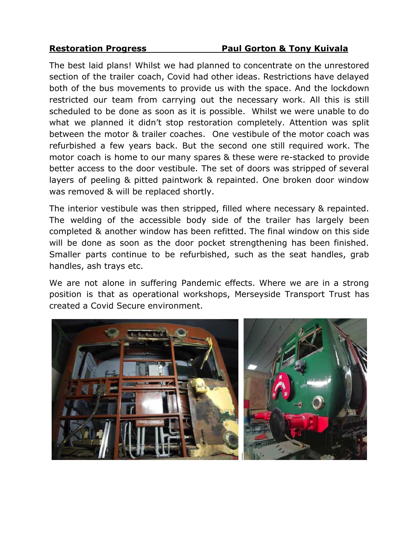### **Restoration Progress Paul Gorton & Tony Kuivala**

The best laid plans! Whilst we had planned to concentrate on the unrestored section of the trailer coach, Covid had other ideas. Restrictions have delayed both of the bus movements to provide us with the space. And the lockdown restricted our team from carrying out the necessary work. All this is still scheduled to be done as soon as it is possible. Whilst we were unable to do what we planned it didn't stop restoration completely. Attention was split between the motor & trailer coaches. One vestibule of the motor coach was refurbished a few years back. But the second one still required work. The motor coach is home to our many spares & these were re-stacked to provide better access to the door vestibule. The set of doors was stripped of several layers of peeling & pitted paintwork & repainted. One broken door window was removed & will be replaced shortly.

The interior vestibule was then stripped, filled where necessary & repainted. The welding of the accessible body side of the trailer has largely been completed & another window has been refitted. The final window on this side will be done as soon as the door pocket strengthening has been finished. Smaller parts continue to be refurbished, such as the seat handles, grab handles, ash trays etc.

We are not alone in suffering Pandemic effects. Where we are in a strong position is that as operational workshops, Merseyside Transport Trust has created a Covid Secure environment.

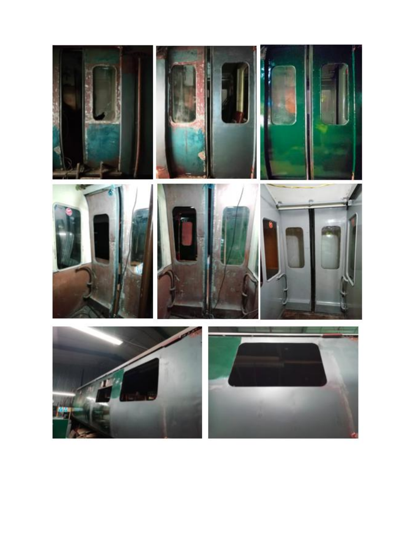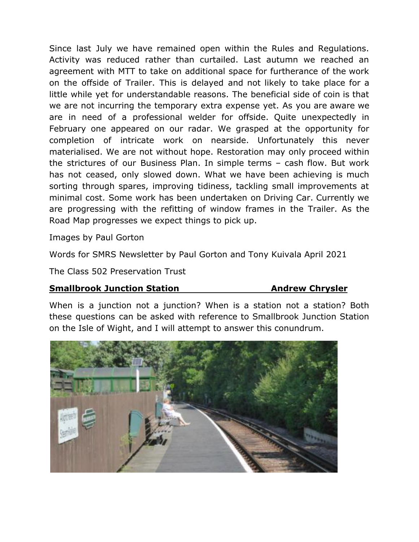Since last July we have remained open within the Rules and Regulations. Activity was reduced rather than curtailed. Last autumn we reached an agreement with MTT to take on additional space for furtherance of the work on the offside of Trailer. This is delayed and not likely to take place for a little while yet for understandable reasons. The beneficial side of coin is that we are not incurring the temporary extra expense yet. As you are aware we are in need of a professional welder for offside. Quite unexpectedly in February one appeared on our radar. We grasped at the opportunity for completion of intricate work on nearside. Unfortunately this never materialised. We are not without hope. Restoration may only proceed within the strictures of our Business Plan. In simple terms – cash flow. But work has not ceased, only slowed down. What we have been achieving is much sorting through spares, improving tidiness, tackling small improvements at minimal cost. Some work has been undertaken on Driving Car. Currently we are progressing with the refitting of window frames in the Trailer. As the Road Map progresses we expect things to pick up.

Images by Paul Gorton

Words for SMRS Newsletter by Paul Gorton and Tony Kuivala April 2021

The Class 502 Preservation Trust

### **Smallbrook Junction Station Andrew Chrysler**

When is a junction not a junction? When is a station not a station? Both these questions can be asked with reference to Smallbrook Junction Station on the Isle of Wight, and I will attempt to answer this conundrum.

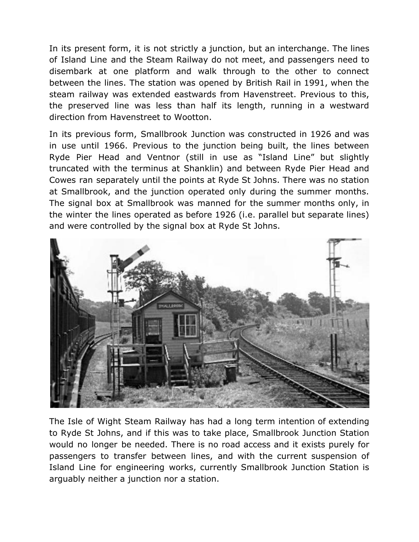In its present form, it is not strictly a junction, but an interchange. The lines of Island Line and the Steam Railway do not meet, and passengers need to disembark at one platform and walk through to the other to connect between the lines. The station was opened by British Rail in 1991, when the steam railway was extended eastwards from Havenstreet. Previous to this, the preserved line was less than half its length, running in a westward direction from Havenstreet to Wootton.

In its previous form, Smallbrook Junction was constructed in 1926 and was in use until 1966. Previous to the junction being built, the lines between Ryde Pier Head and Ventnor (still in use as "Island Line" but slightly truncated with the terminus at Shanklin) and between Ryde Pier Head and Cowes ran separately until the points at Ryde St Johns. There was no station at Smallbrook, and the junction operated only during the summer months. The signal box at Smallbrook was manned for the summer months only, in the winter the lines operated as before 1926 (i.e. parallel but separate lines) and were controlled by the signal box at Ryde St Johns.



The Isle of Wight Steam Railway has had a long term intention of extending to Ryde St Johns, and if this was to take place, Smallbrook Junction Station would no longer be needed. There is no road access and it exists purely for passengers to transfer between lines, and with the current suspension of Island Line for engineering works, currently Smallbrook Junction Station is arguably neither a junction nor a station.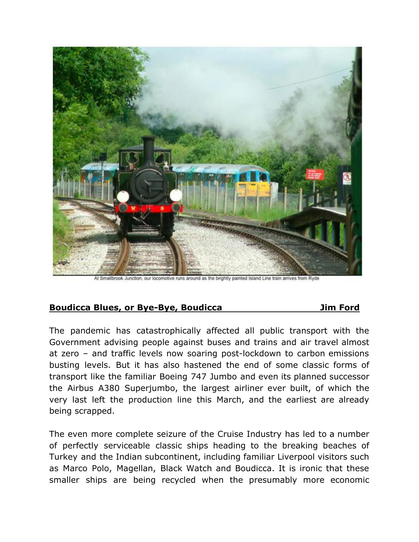

Junction, our locomotive runs around as the brightly painted Island Line train arrives from Ryde

### **Boudicca Blues, or Bye-Bye, Boudicca Jim Ford**

The pandemic has catastrophically affected all public transport with the Government advising people against buses and trains and air travel almost at zero – and traffic levels now soaring post-lockdown to carbon emissions busting levels. But it has also hastened the end of some classic forms of transport like the familiar Boeing 747 Jumbo and even its planned successor the Airbus A380 Superjumbo, the largest airliner ever built, of which the very last left the production line this March, and the earliest are already being scrapped.

The even more complete seizure of the Cruise Industry has led to a number of perfectly serviceable classic ships heading to the breaking beaches of Turkey and the Indian subcontinent, including familiar Liverpool visitors such as Marco Polo, Magellan, Black Watch and Boudicca. It is ironic that these smaller ships are being recycled when the presumably more economic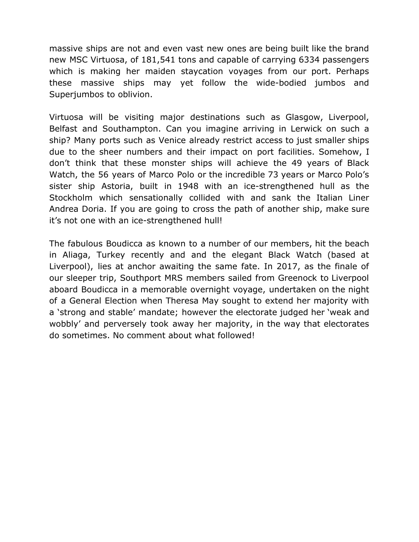massive ships are not and even vast new ones are being built like the brand new MSC Virtuosa, of 181,541 tons and capable of carrying 6334 passengers which is making her maiden staycation voyages from our port. Perhaps these massive ships may yet follow the wide-bodied jumbos and Superjumbos to oblivion.

Virtuosa will be visiting major destinations such as Glasgow, Liverpool, Belfast and Southampton. Can you imagine arriving in Lerwick on such a ship? Many ports such as Venice already restrict access to just smaller ships due to the sheer numbers and their impact on port facilities. Somehow, I don't think that these monster ships will achieve the 49 years of Black Watch, the 56 years of Marco Polo or the incredible 73 years or Marco Polo's sister ship Astoria, built in 1948 with an ice-strengthened hull as the Stockholm which sensationally collided with and sank the Italian Liner Andrea Doria. If you are going to cross the path of another ship, make sure it's not one with an ice-strengthened hull!

The fabulous Boudicca as known to a number of our members, hit the beach in Aliaga, Turkey recently and and the elegant Black Watch (based at Liverpool), lies at anchor awaiting the same fate. In 2017, as the finale of our sleeper trip, Southport MRS members sailed from Greenock to Liverpool aboard Boudicca in a memorable overnight voyage, undertaken on the night of a General Election when Theresa May sought to extend her majority with a 'strong and stable' mandate; however the electorate judged her 'weak and wobbly' and perversely took away her majority, in the way that electorates do sometimes. No comment about what followed!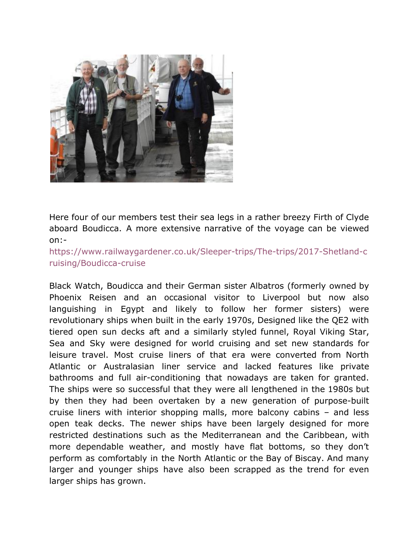

Here four of our members test their sea legs in a rather breezy Firth of Clyde aboard Boudicca. A more extensive narrative of the voyage can be viewed on:-

[https://www.railwaygardener.co.uk/Sleeper-trips/The-trips/2017-Shetland-c](https://www.railwaygardener.co.uk/Sleeper-trips/The-trips/2017-Shetland-cruising/Boudicca-cruise) [ruising/Boudicca-cruise](https://www.railwaygardener.co.uk/Sleeper-trips/The-trips/2017-Shetland-cruising/Boudicca-cruise)

Black Watch, Boudicca and their German sister Albatros (formerly owned by Phoenix Reisen and an occasional visitor to Liverpool but now also languishing in Egypt and likely to follow her former sisters) were revolutionary ships when built in the early 1970s, Designed like the QE2 with tiered open sun decks aft and a similarly styled funnel, Royal Viking Star, Sea and Sky were designed for world cruising and set new standards for leisure travel. Most cruise liners of that era were converted from North Atlantic or Australasian liner service and lacked features like private bathrooms and full air-conditioning that nowadays are taken for granted. The ships were so successful that they were all lengthened in the 1980s but by then they had been overtaken by a new generation of purpose-built cruise liners with interior shopping malls, more balcony cabins – and less open teak decks. The newer ships have been largely designed for more restricted destinations such as the Mediterranean and the Caribbean, with more dependable weather, and mostly have flat bottoms, so they don't perform as comfortably in the North Atlantic or the Bay of Biscay. And many larger and younger ships have also been scrapped as the trend for even larger ships has grown.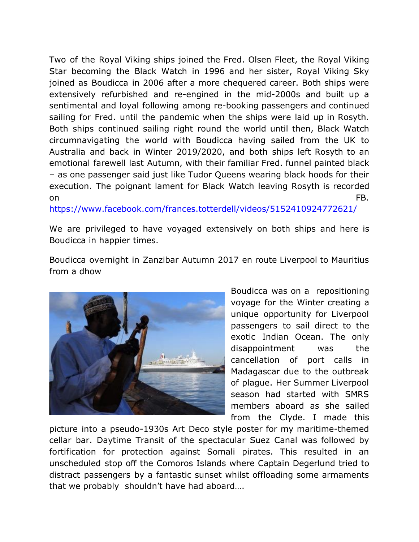Two of the Royal Viking ships joined the Fred. Olsen Fleet, the Royal Viking Star becoming the Black Watch in 1996 and her sister, Royal Viking Sky joined as Boudicca in 2006 after a more chequered career. Both ships were extensively refurbished and re-engined in the mid-2000s and built up a sentimental and loyal following among re-booking passengers and continued sailing for Fred. until the pandemic when the ships were laid up in Rosyth. Both ships continued sailing right round the world until then, Black Watch circumnavigating the world with Boudicca having sailed from the UK to Australia and back in Winter 2019/2020, and both ships left Rosyth to an emotional farewell last Autumn, with their familiar Fred. funnel painted black – as one passenger said just like Tudor Queens wearing black hoods for their execution. The poignant lament for Black Watch leaving Rosyth is recorded on **FB.** 

<https://www.facebook.com/frances.totterdell/videos/5152410924772621/>

We are privileged to have voyaged extensively on both ships and here is Boudicca in happier times.

Boudicca overnight in Zanzibar Autumn 2017 en route Liverpool to Mauritius from a dhow



Boudicca was on a repositioning voyage for the Winter creating a unique opportunity for Liverpool passengers to sail direct to the exotic Indian Ocean. The only disappointment was the cancellation of port calls in Madagascar due to the outbreak of plague. Her Summer Liverpool season had started with SMRS members aboard as she sailed from the Clyde. I made this

picture into a pseudo-1930s Art Deco style poster for my maritime-themed cellar bar. Daytime Transit of the spectacular Suez Canal was followed by fortification for protection against Somali pirates. This resulted in an unscheduled stop off the Comoros Islands where Captain Degerlund tried to distract passengers by a fantastic sunset whilst offloading some armaments that we probably shouldn't have had aboard….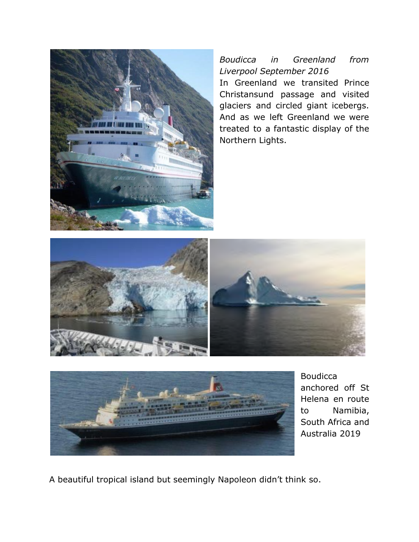

# *Boudicca in Greenland from Liverpool September 2016*

In Greenland we transited Prince Christansund passage and visited glaciers and circled giant icebergs. And as we left Greenland we were treated to a fantastic display of the Northern Lights.





Boudicca anchored off St Helena en route to Namibia, South Africa and Australia 2019

A beautiful tropical island but seemingly Napoleon didn't think so.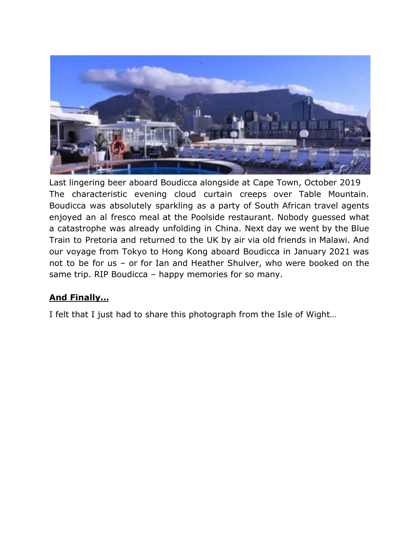

Last lingering beer aboard Boudicca alongside at Cape Town, October 2019 The characteristic evening cloud curtain creeps over Table Mountain. Boudicca was absolutely sparkling as a party of South African travel agents enjoyed an al fresco meal at the Poolside restaurant. Nobody guessed what a catastrophe was already unfolding in China. Next day we went by the Blue Train to Pretoria and returned to the UK by air via old friends in Malawi. And our voyage from Tokyo to Hong Kong aboard Boudicca in January 2021 was not to be for us – or for Ian and Heather Shulver, who were booked on the same trip. RIP Boudicca – happy memories for so many.

# **And Finally…**

I felt that I just had to share this photograph from the Isle of Wight…